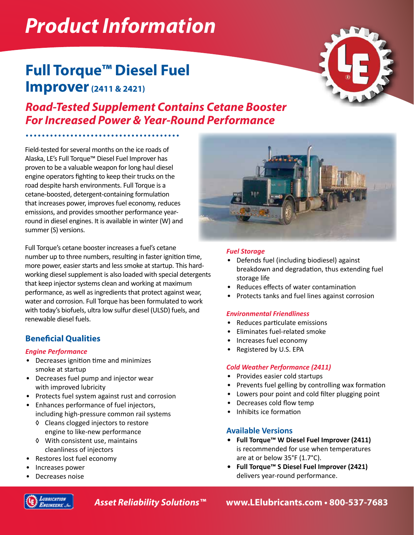# *Product Information*

# **Full Torque™ Diesel Fuel Improver(2411 & 2421)**

# *Road-Tested Supplement Contains Cetane Booster For Increased Power & Year-Round Performance*

Field-tested for several months on the ice roads of Alaska, LE's Full Torque™ Diesel Fuel Improver has proven to be a valuable weapon for long haul diesel engine operators fighting to keep their trucks on the road despite harsh environments. Full Torque is a cetane-boosted, detergent-containing formulation that increases power, improves fuel economy, reduces emissions, and provides smoother performance yearround in diesel engines. It is available in winter (W) and summer (S) versions.

Full Torque's cetane booster increases a fuel's cetane number up to three numbers, resulting in faster ignition time, more power, easier starts and less smoke at startup. This hardworking diesel supplement is also loaded with special detergents that keep injector systems clean and working at maximum performance, as well as ingredients that protect against wear, water and corrosion. Full Torque has been formulated to work with today's biofuels, ultra low sulfur diesel (ULSD) fuels, and renewable diesel fuels.

## **Beneficial Qualities**

#### *Engine Performance*

- Decreases ignition time and minimizes smoke at startup
- Decreases fuel pump and injector wear with improved lubricity
- Protects fuel system against rust and corrosion
- Enhances performance of fuel injectors, including high-pressure common rail systems
	- ◊ Cleans clogged injectors to restore engine to like-new performance
	- ◊ With consistent use, maintains cleanliness of injectors
- Restores lost fuel economy
- Increases power
- Decreases noise

#### *Fuel Storage*

- Defends fuel (including biodiesel) against breakdown and degradation, thus extending fuel storage life
- Reduces effects of water contamination
- Protects tanks and fuel lines against corrosion

#### *Environmental Friendliness*

- Reduces particulate emissions
- Eliminates fuel-related smoke
- Increases fuel economy
- Registered by U.S. EPA

#### *Cold Weather Performance (2411)*

- Provides easier cold startups
- Prevents fuel gelling by controlling wax formation
- Lowers pour point and cold filter plugging point
- Decreases cold flow temp
- Inhibits ice formation

#### **Available Versions**

- **• Full Torque™ W Diesel Fuel Improver (2411)** is recommended for use when temperatures are at or below 35°F (1.7°C).
- **• Full Torque™ S Diesel Fuel Improver (2421)** delivers year-round performance.



*Asset Reliability Solutions™* **www.LElubricants.com • 800-537-7683**



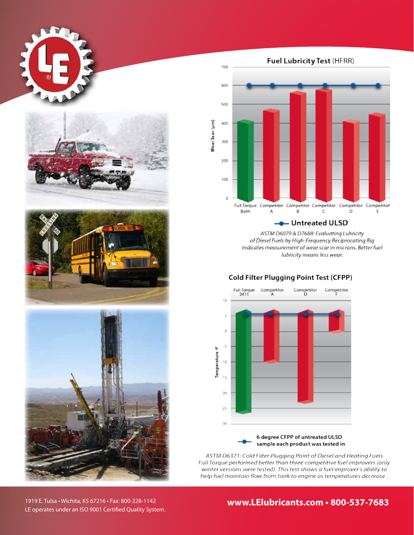







Fuel Lubricity Test (HFRR)



ASTM D6079 & D7688: Evaluating Lubricity of Diesel Fuels by High-Frequency Reciprocating Rig Indicates measurement of wear scar in microns. Better fuel lubricity means less wear.

#### **Cold Filter Plugging Point Test (CFPP)**



ASTM D6371: Cold Filter Plugging Point of Diesel and Heating Fuels Full Torque performed better than three competitive fuel improvers (only winter versions were tested). This test shows a fuel improver's ability to help fuel maintain flow from tank to engine as temperatures decrease.

1919 E. Tulsa • Wichita, KS 67216 • Fax: 800-228-1142 LE operates under an ISO 9001 Certified Quality System. **www.LElubricants.com • 800-537-7683**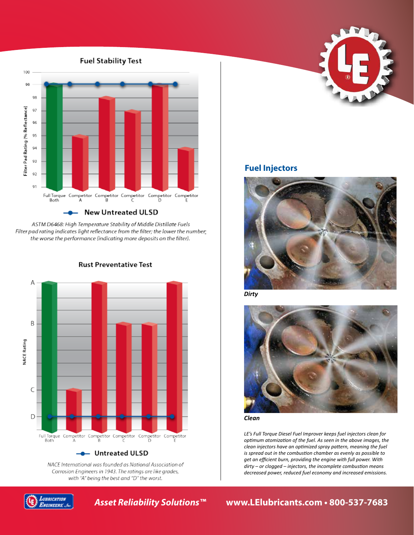#### **Fuel Stability Test**



ASTM D6468: High Temperature Stability of Middle Distillate Fuels Filter pad rating indicates light reflectance from the filter; the lower the number; the worse the performance (indicating more deposits on the filter).



**Rust Preventative Test** 

NACE International was founded as National Association of Corrosion Engineers in 1943. The ratings are like grades, with "A" being the best and "D" the worst.







### **Fuel Injectors**



*Dirty*



*Clean*

*LE's Full Torque Diesel Fuel Improver keeps fuel injectors clean for optimum atomization of the fuel. As seen in the above images, the clean injectors have an optimized spray pattern, meaning the fuel is spread out in the combustion chamber as evenly as possible to get an efficient burn, providing the engine with full power. With dirty – or clogged – injectors, the incomplete combustion means decreased power, reduced fuel economy and increased emissions.*

## *Asset Reliability Solutions™* **www.LElubricants.com • 800-537-7683**